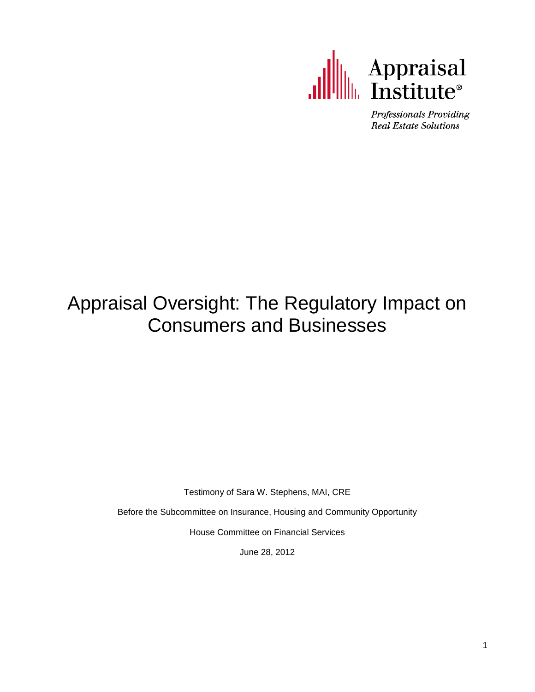

Professionals Providing **Real Estate Solutions** 

# Appraisal Oversight: The Regulatory Impact on Consumers and Businesses

Testimony of Sara W. Stephens, MAI, CRE

Before the Subcommittee on Insurance, Housing and Community Opportunity

House Committee on Financial Services

June 28, 2012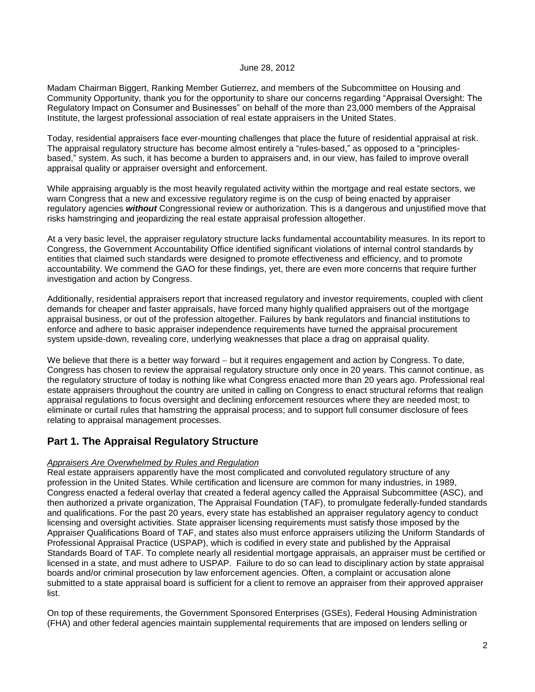#### June 28, 2012

Madam Chairman Biggert, Ranking Member Gutierrez, and members of the Subcommittee on Housing and Community Opportunity, thank you for the opportunity to share our concerns regarding "Appraisal Oversight: The Regulatory Impact on Consumer and Businesses" on behalf of the more than 23,000 members of the Appraisal Institute, the largest professional association of real estate appraisers in the United States.

Today, residential appraisers face ever-mounting challenges that place the future of residential appraisal at risk. The appraisal regulatory structure has become almost entirely a "rules-based," as opposed to a "principlesbased," system. As such, it has become a burden to appraisers and, in our view, has failed to improve overall appraisal quality or appraiser oversight and enforcement.

While appraising arguably is the most heavily regulated activity within the mortgage and real estate sectors, we warn Congress that a new and excessive regulatory regime is on the cusp of being enacted by appraiser regulatory agencies *without* Congressional review or authorization. This is a dangerous and unjustified move that risks hamstringing and jeopardizing the real estate appraisal profession altogether.

At a very basic level, the appraiser regulatory structure lacks fundamental accountability measures. In its report to Congress, the Government Accountability Office identified significant violations of internal control standards by entities that claimed such standards were designed to promote effectiveness and efficiency, and to promote accountability. We commend the GAO for these findings, yet, there are even more concerns that require further investigation and action by Congress.

Additionally, residential appraisers report that increased regulatory and investor requirements, coupled with client demands for cheaper and faster appraisals, have forced many highly qualified appraisers out of the mortgage appraisal business, or out of the profession altogether. Failures by bank regulators and financial institutions to enforce and adhere to basic appraiser independence requirements have turned the appraisal procurement system upside-down, revealing core, underlying weaknesses that place a drag on appraisal quality.

We believe that there is a better way forward  $-$  but it requires engagement and action by Congress. To date, Congress has chosen to review the appraisal regulatory structure only once in 20 years. This cannot continue, as the regulatory structure of today is nothing like what Congress enacted more than 20 years ago. Professional real estate appraisers throughout the country are united in calling on Congress to enact structural reforms that realign appraisal regulations to focus oversight and declining enforcement resources where they are needed most; to eliminate or curtail rules that hamstring the appraisal process; and to support full consumer disclosure of fees relating to appraisal management processes.

# **Part 1. The Appraisal Regulatory Structure**

### *Appraisers Are Overwhelmed by Rules and Regulation*

Real estate appraisers apparently have the most complicated and convoluted regulatory structure of any profession in the United States. While certification and licensure are common for many industries, in 1989, Congress enacted a federal overlay that created a federal agency called the Appraisal Subcommittee (ASC), and then authorized a private organization, The Appraisal Foundation (TAF), to promulgate federally-funded standards and qualifications. For the past 20 years, every state has established an appraiser regulatory agency to conduct licensing and oversight activities. State appraiser licensing requirements must satisfy those imposed by the Appraiser Qualifications Board of TAF, and states also must enforce appraisers utilizing the Uniform Standards of Professional Appraisal Practice (USPAP), which is codified in every state and published by the Appraisal Standards Board of TAF. To complete nearly all residential mortgage appraisals, an appraiser must be certified or licensed in a state, and must adhere to USPAP. Failure to do so can lead to disciplinary action by state appraisal boards and/or criminal prosecution by law enforcement agencies. Often, a complaint or accusation alone submitted to a state appraisal board is sufficient for a client to remove an appraiser from their approved appraiser list.

On top of these requirements, the Government Sponsored Enterprises (GSEs), Federal Housing Administration (FHA) and other federal agencies maintain supplemental requirements that are imposed on lenders selling or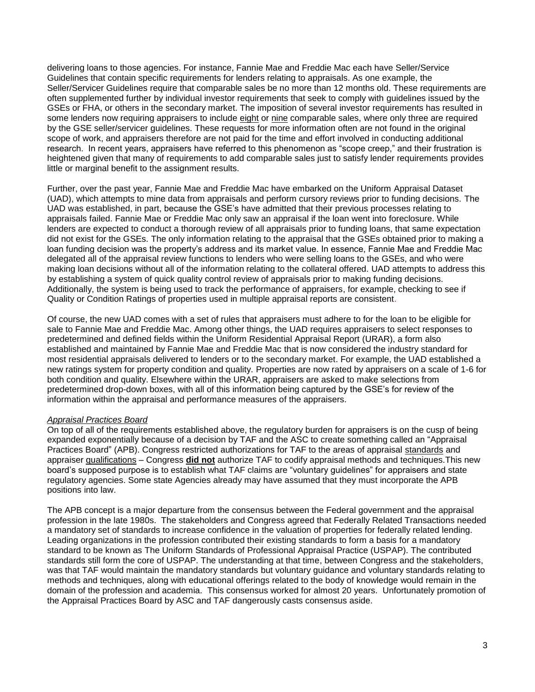delivering loans to those agencies. For instance, Fannie Mae and Freddie Mac each have Seller/Service Guidelines that contain specific requirements for lenders relating to appraisals. As one example, the Seller/Servicer Guidelines require that comparable sales be no more than 12 months old. These requirements are often supplemented further by individual investor requirements that seek to comply with guidelines issued by the GSEs or FHA, or others in the secondary market. The imposition of several investor requirements has resulted in some lenders now requiring appraisers to include eight or nine comparable sales, where only three are required by the GSE seller/servicer guidelines. These requests for more information often are not found in the original scope of work, and appraisers therefore are not paid for the time and effort involved in conducting additional research. In recent years, appraisers have referred to this phenomenon as "scope creep," and their frustration is heightened given that many of requirements to add comparable sales just to satisfy lender requirements provides little or marginal benefit to the assignment results.

Further, over the past year, Fannie Mae and Freddie Mac have embarked on the Uniform Appraisal Dataset (UAD), which attempts to mine data from appraisals and perform cursory reviews prior to funding decisions. The UAD was established, in part, because the GSE's have admitted that their previous processes relating to appraisals failed. Fannie Mae or Freddie Mac only saw an appraisal if the loan went into foreclosure. While lenders are expected to conduct a thorough review of all appraisals prior to funding loans, that same expectation did not exist for the GSEs. The only information relating to the appraisal that the GSEs obtained prior to making a loan funding decision was the property's address and its market value. In essence, Fannie Mae and Freddie Mac delegated all of the appraisal review functions to lenders who were selling loans to the GSEs, and who were making loan decisions without all of the information relating to the collateral offered. UAD attempts to address this by establishing a system of quick quality control review of appraisals prior to making funding decisions. Additionally, the system is being used to track the performance of appraisers, for example, checking to see if Quality or Condition Ratings of properties used in multiple appraisal reports are consistent.

Of course, the new UAD comes with a set of rules that appraisers must adhere to for the loan to be eligible for sale to Fannie Mae and Freddie Mac. Among other things, the UAD requires appraisers to select responses to predetermined and defined fields within the Uniform Residential Appraisal Report (URAR), a form also established and maintained by Fannie Mae and Freddie Mac that is now considered the industry standard for most residential appraisals delivered to lenders or to the secondary market. For example, the UAD established a new ratings system for property condition and quality. Properties are now rated by appraisers on a scale of 1-6 for both condition and quality. Elsewhere within the URAR, appraisers are asked to make selections from predetermined drop-down boxes, with all of this information being captured by the GSE's for review of the information within the appraisal and performance measures of the appraisers.

### *Appraisal Practices Board*

On top of all of the requirements established above, the regulatory burden for appraisers is on the cusp of being expanded exponentially because of a decision by TAF and the ASC to create something called an "Appraisal Practices Board" (APB). Congress restricted authorizations for TAF to the areas of appraisal standards and appraiser qualifications – Congress **did not** authorize TAF to codify appraisal methods and techniques.This new board's supposed purpose is to establish what TAF claims are "voluntary guidelines" for appraisers and state regulatory agencies. Some state Agencies already may have assumed that they must incorporate the APB positions into law.

The APB concept is a major departure from the consensus between the Federal government and the appraisal profession in the late 1980s. The stakeholders and Congress agreed that Federally Related Transactions needed a mandatory set of standards to increase confidence in the valuation of properties for federally related lending. Leading organizations in the profession contributed their existing standards to form a basis for a mandatory standard to be known as The Uniform Standards of Professional Appraisal Practice (USPAP). The contributed standards still form the core of USPAP. The understanding at that time, between Congress and the stakeholders, was that TAF would maintain the mandatory standards but voluntary guidance and voluntary standards relating to methods and techniques, along with educational offerings related to the body of knowledge would remain in the domain of the profession and academia. This consensus worked for almost 20 years. Unfortunately promotion of the Appraisal Practices Board by ASC and TAF dangerously casts consensus aside.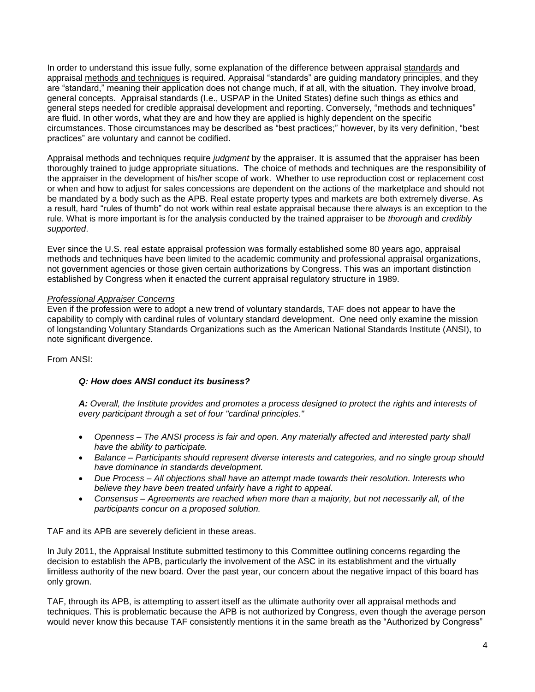In order to understand this issue fully, some explanation of the difference between appraisal standards and appraisal methods and techniques is required. Appraisal "standards" are guiding mandatory principles, and they are "standard," meaning their application does not change much, if at all, with the situation. They involve broad, general concepts. Appraisal standards (I.e., USPAP in the United States) define such things as ethics and general steps needed for credible appraisal development and reporting. Conversely, "methods and techniques" are fluid. In other words, what they are and how they are applied is highly dependent on the specific circumstances. Those circumstances may be described as "best practices;" however, by its very definition, "best practices" are voluntary and cannot be codified.

Appraisal methods and techniques require *judgment* by the appraiser. It is assumed that the appraiser has been thoroughly trained to judge appropriate situations. The choice of methods and techniques are the responsibility of the appraiser in the development of his/her scope of work. Whether to use reproduction cost or replacement cost or when and how to adjust for sales concessions are dependent on the actions of the marketplace and should not be mandated by a body such as the APB. Real estate property types and markets are both extremely diverse. As a result, hard "rules of thumb" do not work within real estate appraisal because there always is an exception to the rule. What is more important is for the analysis conducted by the trained appraiser to be *thorough* and *credibly supported*.

Ever since the U.S. real estate appraisal profession was formally established some 80 years ago, appraisal methods and techniques have been limited to the academic community and professional appraisal organizations, not government agencies or those given certain authorizations by Congress. This was an important distinction established by Congress when it enacted the current appraisal regulatory structure in 1989.

# *Professional Appraiser Concerns*

Even if the profession were to adopt a new trend of voluntary standards, TAF does not appear to have the capability to comply with cardinal rules of voluntary standard development. One need only examine the mission of longstanding Voluntary Standards Organizations such as the American National Standards Institute (ANSI), to note significant divergence.

From ANSI:

# *Q: How does ANSI conduct its business?*

*A: Overall, the Institute provides and promotes a process designed to protect the rights and interests of every participant through a set of four "cardinal principles."*

- *Openness – The ANSI process is fair and open. Any materially affected and interested party shall have the ability to participate.*
- *Balance – Participants should represent diverse interests and categories, and no single group should have dominance in standards development.*
- *Due Process – All objections shall have an attempt made towards their resolution. Interests who believe they have been treated unfairly have a right to appeal.*
- *Consensus – Agreements are reached when more than a majority, but not necessarily all, of the participants concur on a proposed solution.*

TAF and its APB are severely deficient in these areas.

In July 2011, the Appraisal Institute submitted testimony to this Committee outlining concerns regarding the decision to establish the APB, particularly the involvement of the ASC in its establishment and the virtually limitless authority of the new board. Over the past year, our concern about the negative impact of this board has only grown.

TAF, through its APB, is attempting to assert itself as the ultimate authority over all appraisal methods and techniques. This is problematic because the APB is not authorized by Congress, even though the average person would never know this because TAF consistently mentions it in the same breath as the "Authorized by Congress"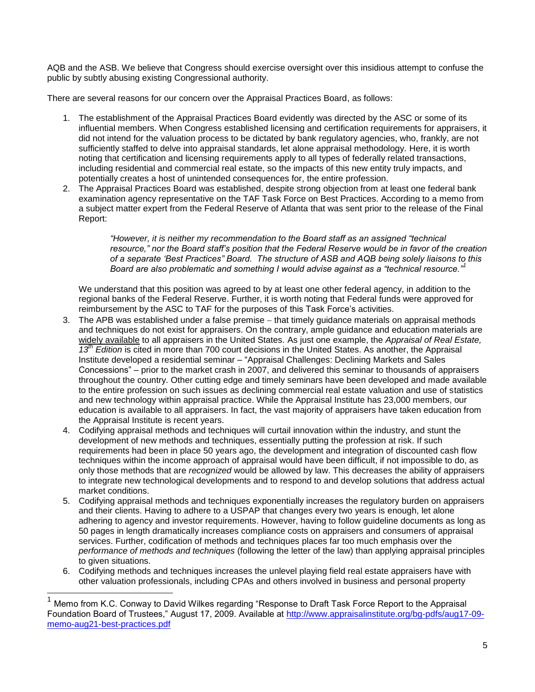AQB and the ASB. We believe that Congress should exercise oversight over this insidious attempt to confuse the public by subtly abusing existing Congressional authority.

There are several reasons for our concern over the Appraisal Practices Board, as follows:

- 1. The establishment of the Appraisal Practices Board evidently was directed by the ASC or some of its influential members. When Congress established licensing and certification requirements for appraisers, it did not intend for the valuation process to be dictated by bank regulatory agencies, who, frankly, are not sufficiently staffed to delve into appraisal standards, let alone appraisal methodology. Here, it is worth noting that certification and licensing requirements apply to all types of federally related transactions, including residential and commercial real estate, so the impacts of this new entity truly impacts, and potentially creates a host of unintended consequences for, the entire profession.
- 2. The Appraisal Practices Board was established, despite strong objection from at least one federal bank examination agency representative on the TAF Task Force on Best Practices. According to a memo from a subject matter expert from the Federal Reserve of Atlanta that was sent prior to the release of the Final Report:

*"However, it is neither my recommendation to the Board staff as an assigned "technical resource," nor the Board staff"s position that the Federal Reserve would be in favor of the creation of a separate "Best Practices" Board. The structure of ASB and AQB being solely liaisons to this Board are also problematic and something I would advise against as a "technical resource."<sup>1</sup>*

We understand that this position was agreed to by at least one other federal agency, in addition to the regional banks of the Federal Reserve. Further, it is worth noting that Federal funds were approved for reimbursement by the ASC to TAF for the purposes of this Task Force's activities.

- 3. The APB was established under a false premise that timely guidance materials on appraisal methods and techniques do not exist for appraisers. On the contrary, ample guidance and education materials are widely available to all appraisers in the United States. As just one example, the *Appraisal of Real Estate, 13th Edition* is cited in more than 700 court decisions in the United States. As another, the Appraisal Institute developed a residential seminar – "Appraisal Challenges: Declining Markets and Sales Concessions" – prior to the market crash in 2007, and delivered this seminar to thousands of appraisers throughout the country. Other cutting edge and timely seminars have been developed and made available to the entire profession on such issues as declining commercial real estate valuation and use of statistics and new technology within appraisal practice. While the Appraisal Institute has 23,000 members, our education is available to all appraisers. In fact, the vast majority of appraisers have taken education from the Appraisal Institute is recent years.
- 4. Codifying appraisal methods and techniques will curtail innovation within the industry, and stunt the development of new methods and techniques, essentially putting the profession at risk. If such requirements had been in place 50 years ago, the development and integration of discounted cash flow techniques within the income approach of appraisal would have been difficult, if not impossible to do, as only those methods that are *recognized* would be allowed by law. This decreases the ability of appraisers to integrate new technological developments and to respond to and develop solutions that address actual market conditions.
- 5. Codifying appraisal methods and techniques exponentially increases the regulatory burden on appraisers and their clients. Having to adhere to a USPAP that changes every two years is enough, let alone adhering to agency and investor requirements. However, having to follow guideline documents as long as 50 pages in length dramatically increases compliance costs on appraisers and consumers of appraisal services. Further, codification of methods and techniques places far too much emphasis over the *performance of methods and techniques* (following the letter of the law) than applying appraisal principles to given situations.
- 6. Codifying methods and techniques increases the unlevel playing field real estate appraisers have with other valuation professionals, including CPAs and others involved in business and personal property

Memo from K.C. Conway to David Wilkes regarding "Response to Draft Task Force Report to the Appraisal Foundation Board of Trustees," August 17, 2009. Available at [http://www.appraisalinstitute.org/bg-pdfs/aug17-09](http://www.appraisalinstitute.org/bg-pdfs/aug17-09-memo-aug21-best-practices.pdf) [memo-aug21-best-practices.pdf](http://www.appraisalinstitute.org/bg-pdfs/aug17-09-memo-aug21-best-practices.pdf)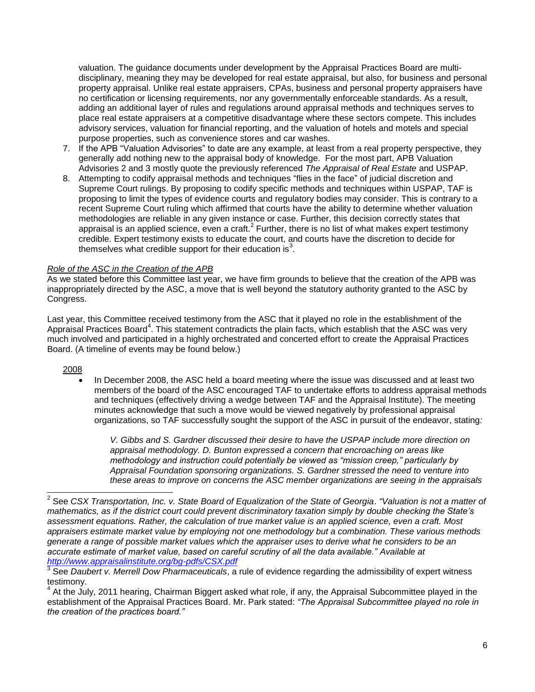valuation. The guidance documents under development by the Appraisal Practices Board are multidisciplinary, meaning they may be developed for real estate appraisal, but also, for business and personal property appraisal. Unlike real estate appraisers, CPAs, business and personal property appraisers have no certification or licensing requirements, nor any governmentally enforceable standards. As a result, adding an additional layer of rules and regulations around appraisal methods and techniques serves to place real estate appraisers at a competitive disadvantage where these sectors compete. This includes advisory services, valuation for financial reporting, and the valuation of hotels and motels and special purpose properties, such as convenience stores and car washes.

- 7. If the APB "Valuation Advisories" to date are any example, at least from a real property perspective, they generally add nothing new to the appraisal body of knowledge. For the most part, APB Valuation Advisories 2 and 3 mostly quote the previously referenced *The Appraisal of Real Estate* and USPAP.
- 8. Attempting to codify appraisal methods and techniques "flies in the face" of judicial discretion and Supreme Court rulings. By proposing to codify specific methods and techniques within USPAP, TAF is proposing to limit the types of evidence courts and regulatory bodies may consider. This is contrary to a recent Supreme Court ruling which affirmed that courts have the ability to determine whether valuation methodologies are reliable in any given instance or case. Further, this decision correctly states that appraisal is an applied science, even a craft.<sup>2</sup> Further, there is no list of what makes expert testimony credible. Expert testimony exists to educate the court, and courts have the discretion to decide for themselves what credible support for their education is<sup>3</sup>.

# *Role of the ASC in the Creation of the APB*

As we stated before this Committee last year, we have firm grounds to believe that the creation of the APB was inappropriately directed by the ASC, a move that is well beyond the statutory authority granted to the ASC by Congress.

Last year, this Committee received testimony from the ASC that it played no role in the establishment of the Appraisal Practices Board<sup>4</sup>. This statement contradicts the plain facts, which establish that the ASC was very much involved and participated in a highly orchestrated and concerted effort to create the Appraisal Practices Board. (A timeline of events may be found below.)

### 2008

 In December 2008, the ASC held a board meeting where the issue was discussed and at least two members of the board of the ASC encouraged TAF to undertake efforts to address appraisal methods and techniques (effectively driving a wedge between TAF and the Appraisal Institute). The meeting minutes acknowledge that such a move would be viewed negatively by professional appraisal organizations, so TAF successfully sought the support of the ASC in pursuit of the endeavor, stating*:* 

*V. Gibbs and S. Gardner discussed their desire to have the USPAP include more direction on appraisal methodology. D. Bunton expressed a concern that encroaching on areas like methodology and instruction could potentially be viewed as "mission creep," particularly by Appraisal Foundation sponsoring organizations. S. Gardner stressed the need to venture into these areas to improve on concerns the ASC member organizations are seeing in the appraisals* 

 2 See *CSX Transportation, Inc. v. State Board of Equalization of the State of Georgia*. *"Valuation is not a matter of mathematics, as if the district court could prevent discriminatory taxation simply by double checking the State"s assessment equations. Rather, the calculation of true market value is an applied science, even a craft. Most appraisers estimate market value by employing not one methodology but a combination. These various methods generate a range of possible market values which the appraiser uses to derive what he considers to be an accurate estimate of market value, based on careful scrutiny of all the data available." Available at <http://www.appraisalinstitute.org/bg-pdfs/CSX.pdf>*

<sup>3</sup> See *Daubert v. Merrell Dow Pharmaceuticals*, a rule of evidence regarding the admissibility of expert witness testimony.

<sup>&</sup>lt;sup>4</sup> At the July, 2011 hearing, Chairman Biggert asked what role, if any, the Appraisal Subcommittee played in the establishment of the Appraisal Practices Board. Mr. Park stated: *"The Appraisal Subcommittee played no role in the creation of the practices board."*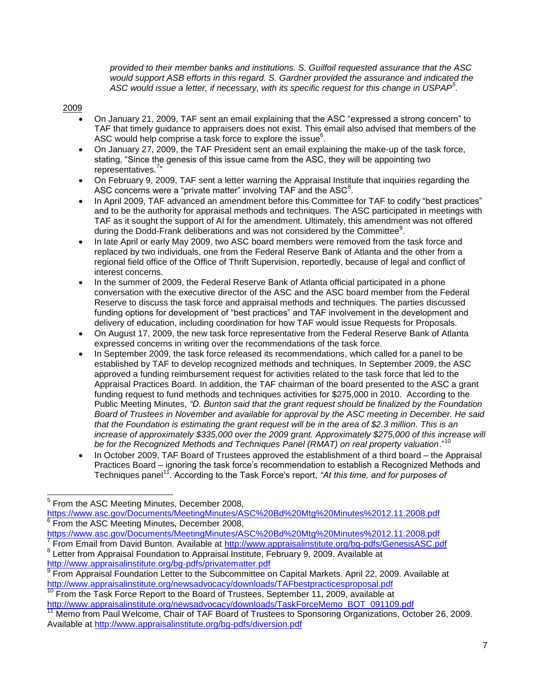*provided to their member banks and institutions. S. Guilfoil requested assurance that the ASC would support ASB efforts in this regard. S. Gardner provided the assurance and indicated the ASC would issue a letter, if necessary, with its specific request for this change in USPAP<sup>5</sup> .*

# 2009

- On January 21, 2009, TAF sent an email explaining that the ASC "expressed a strong concern" to TAF that timely guidance to appraisers does not exist. This email also advised that members of the ASC would help comprise a task force to explore the issue $6$ .
- On January 27, 2009, the TAF President sent an email explaining the make-up of the task force, stating, "Since the genesis of this issue came from the ASC, they will be appointing two representatives.<sup>7</sup>"
- On February 9, 2009, TAF sent a letter warning the Appraisal Institute that inquiries regarding the ASC concerns were a "private matter" involving TAF and the  $\mathsf{ASC}^8$ .
- In April 2009, TAF advanced an amendment before this Committee for TAF to codify "best practices" and to be the authority for appraisal methods and techniques. The ASC participated in meetings with TAF as it sought the support of AI for the amendment. Ultimately, this amendment was not offered during the Dodd-Frank deliberations and was not considered by the Committee<sup>9</sup>.
- In late April or early May 2009, two ASC board members were removed from the task force and replaced by two individuals, one from the Federal Reserve Bank of Atlanta and the other from a regional field office of the Office of Thrift Supervision, reportedly, because of legal and conflict of interest concerns.
- In the summer of 2009, the Federal Reserve Bank of Atlanta official participated in a phone conversation with the executive director of the ASC and the ASC board member from the Federal Reserve to discuss the task force and appraisal methods and techniques. The parties discussed funding options for development of "best practices" and TAF involvement in the development and delivery of education, including coordination for how TAF would issue Requests for Proposals.
- On August 17, 2009, the new task force representative from the Federal Reserve Bank of Atlanta expressed concerns in writing over the recommendations of the task force.
- In September 2009, the task force released its recommendations, which called for a panel to be established by TAF to develop recognized methods and techniques. In September 2009, the ASC approved a funding reimbursement request for activities related to the task force that led to the Appraisal Practices Board. In addition, the TAF chairman of the board presented to the ASC a grant funding request to fund methods and techniques activities for \$275,000 in 2010. According to the Public Meeting Minutes, *"D. Bunton said that the grant request should be finalized by the Foundation Board of Trustees in November and available for approval by the ASC meeting in December. He said that the Foundation is estimating the grant request will be in the area of \$2.3 million. This is an increase of approximately \$335,000 over the 2009 grant. Approximately \$275,000 of this increase will*  be for the Recognized Methods and Techniques Panel (RMAT) on real property valuation."<sup>10</sup>
- In October 2009, TAF Board of Trustees approved the establishment of a third board the Appraisal Practices Board – ignoring the task force's recommendation to establish a Recognized Methods and Techniques panel<sup>11</sup>. According to the Task Force's report, "At this time, and for purposes of

l

<sup>8</sup> Letter from Appraisal Foundation to Appraisal Institute, February 9, 2009. Available at <http://www.appraisalinstitute.org/bg-pdfs/privatematter.pdf>

From the Task Force Report to the Board of Trustees, September 11, 2009, available at [http://www.appraisalinstitute.org/newsadvocacy/downloads/TaskForceMemo\\_BOT\\_091109.pdf](http://www.appraisalinstitute.org/newsadvocacy/downloads/TaskForceMemo_BOT_091109.pdf)

<sup>5</sup> From the ASC Meeting Minutes, December 2008,

<https://www.asc.gov/Documents/MeetingMinutes/ASC%20Bd%20Mtg%20Minutes%2012.11.2008.pdf> 6 From the ASC Meeting Minutes, December 2008,

<https://www.asc.gov/Documents/MeetingMinutes/ASC%20Bd%20Mtg%20Minutes%2012.11.2008.pdf> 7 From Email from David Bunton. Available at<http://www.appraisalinstitute.org/bg-pdfs/GenesisASC.pdf>

<sup>&</sup>lt;sup>9</sup> From Appraisal Foundation Letter to the Subcommittee on Capital Markets. April 22, 2009. Available at <http://www.appraisalinstitute.org/newsadvocacy/downloads/TAFbestpracticesproposal.pdf>

<sup>11</sup> Memo from Paul Welcome, Chair of TAF Board of Trustees to Sponsoring Organizations, October 26, 2009. Available at<http://www.appraisalinstitute.org/bg-pdfs/diversion.pdf>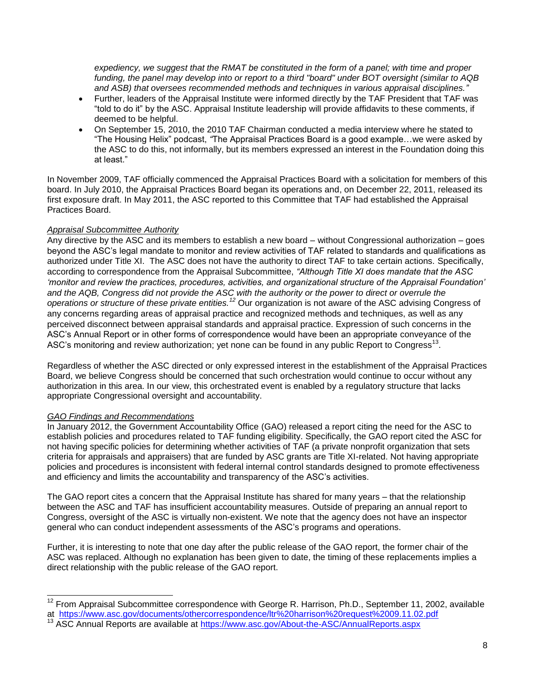*expediency, we suggest that the RMAT be constituted in the form of a panel; with time and proper funding, the panel may develop into or report to a third "board" under BOT oversight (similar to AQB and ASB) that oversees recommended methods and techniques in various appraisal disciplines."*

- Further, leaders of the Appraisal Institute were informed directly by the TAF President that TAF was "told to do it" by the ASC. Appraisal Institute leadership will provide affidavits to these comments, if deemed to be helpful.
- On September 15, 2010, the 2010 TAF Chairman conducted a media interview where he stated to "The Housing Helix" podcast, *"*The Appraisal Practices Board is a good example…we were asked by the ASC to do this, not informally, but its members expressed an interest in the Foundation doing this at least."

In November 2009, TAF officially commenced the Appraisal Practices Board with a solicitation for members of this board. In July 2010, the Appraisal Practices Board began its operations and, on December 22, 2011, released its first exposure draft. In May 2011, the ASC reported to this Committee that TAF had established the Appraisal Practices Board.

# *Appraisal Subcommittee Authority*

Any directive by the ASC and its members to establish a new board – without Congressional authorization – goes beyond the ASC's legal mandate to monitor and review activities of TAF related to standards and qualifications as authorized under Title XI. The ASC does not have the authority to direct TAF to take certain actions. Specifically, according to correspondence from the Appraisal Subcommittee, *"Although Title XI does mandate that the ASC "monitor and review the practices, procedures, activities, and organizational structure of the Appraisal Foundation" and the AQB, Congress did not provide the ASC with the authority or the power to direct or overrule the operations or structure of these private entities.<sup>12</sup>* Our organization is not aware of the ASC advising Congress of any concerns regarding areas of appraisal practice and recognized methods and techniques, as well as any perceived disconnect between appraisal standards and appraisal practice. Expression of such concerns in the ASC's Annual Report or in other forms of correspondence would have been an appropriate conveyance of the ASC's monitoring and review authorization; yet none can be found in any public Report to Congress<sup>13</sup>.

Regardless of whether the ASC directed or only expressed interest in the establishment of the Appraisal Practices Board, we believe Congress should be concerned that such orchestration would continue to occur without any authorization in this area. In our view, this orchestrated event is enabled by a regulatory structure that lacks appropriate Congressional oversight and accountability.

# *GAO Findings and Recommendations*

In January 2012, the Government Accountability Office (GAO) released a report citing the need for the ASC to establish policies and procedures related to TAF funding eligibility. Specifically, the GAO report cited the ASC for not having specific policies for determining whether activities of TAF (a private nonprofit organization that sets criteria for appraisals and appraisers) that are funded by ASC grants are Title XI-related. Not having appropriate policies and procedures is inconsistent with federal internal control standards designed to promote effectiveness and efficiency and limits the accountability and transparency of the ASC's activities.

The GAO report cites a concern that the Appraisal Institute has shared for many years – that the relationship between the ASC and TAF has insufficient accountability measures. Outside of preparing an annual report to Congress, oversight of the ASC is virtually non-existent. We note that the agency does not have an inspector general who can conduct independent assessments of the ASC's programs and operations.

Further, it is interesting to note that one day after the public release of the GAO report, the former chair of the ASC was replaced. Although no explanation has been given to date, the timing of these replacements implies a direct relationship with the public release of the GAO report.

l  $12$  From Appraisal Subcommittee correspondence with George R. Harrison, Ph.D., September 11, 2002, available at <https://www.asc.gov/documents/othercorrespondence/ltr%20harrison%20request%2009.11.02.pdf>

<sup>13</sup> ASC Annual Reports are available at<https://www.asc.gov/About-the-ASC/AnnualReports.aspx>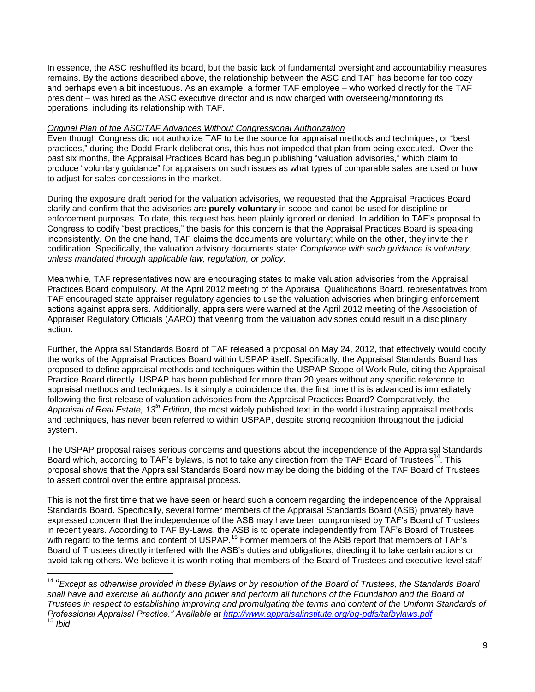In essence, the ASC reshuffled its board, but the basic lack of fundamental oversight and accountability measures remains. By the actions described above, the relationship between the ASC and TAF has become far too cozy and perhaps even a bit incestuous. As an example, a former TAF employee – who worked directly for the TAF president – was hired as the ASC executive director and is now charged with overseeing/monitoring its operations, including its relationship with TAF.

## *Original Plan of the ASC/TAF Advances Without Congressional Authorization*

Even though Congress did not authorize TAF to be the source for appraisal methods and techniques, or "best practices," during the Dodd-Frank deliberations, this has not impeded that plan from being executed. Over the past six months, the Appraisal Practices Board has begun publishing "valuation advisories," which claim to produce "voluntary guidance" for appraisers on such issues as what types of comparable sales are used or how to adjust for sales concessions in the market.

During the exposure draft period for the valuation advisories, we requested that the Appraisal Practices Board clarify and confirm that the advisories are **purely voluntary** in scope and canot be used for discipline or enforcement purposes. To date, this request has been plainly ignored or denied. In addition to TAF's proposal to Congress to codify "best practices," the basis for this concern is that the Appraisal Practices Board is speaking inconsistently. On the one hand, TAF claims the documents are voluntary; while on the other, they invite their codification. Specifically, the valuation advisory documents state: *Compliance with such guidance is voluntary, unless mandated through applicable law, regulation, or policy.*

Meanwhile, TAF representatives now are encouraging states to make valuation advisories from the Appraisal Practices Board compulsory. At the April 2012 meeting of the Appraisal Qualifications Board, representatives from TAF encouraged state appraiser regulatory agencies to use the valuation advisories when bringing enforcement actions against appraisers. Additionally, appraisers were warned at the April 2012 meeting of the Association of Appraiser Regulatory Officials (AARO) that veering from the valuation advisories could result in a disciplinary action.

Further, the Appraisal Standards Board of TAF released a proposal on May 24, 2012, that effectively would codify the works of the Appraisal Practices Board within USPAP itself. Specifically, the Appraisal Standards Board has proposed to define appraisal methods and techniques within the USPAP Scope of Work Rule, citing the Appraisal Practice Board directly. USPAP has been published for more than 20 years without any specific reference to appraisal methods and techniques. Is it simply a coincidence that the first time this is advanced is immediately following the first release of valuation advisories from the Appraisal Practices Board? Comparatively, the *Appraisal of Real Estate, 13th Edition*, the most widely published text in the world illustrating appraisal methods and techniques, has never been referred to within USPAP, despite strong recognition throughout the judicial system.

The USPAP proposal raises serious concerns and questions about the independence of the Appraisal Standards Board which, according to TAF's bylaws, is not to take any direction from the TAF Board of Trustees<sup>14</sup>. This proposal shows that the Appraisal Standards Board now may be doing the bidding of the TAF Board of Trustees to assert control over the entire appraisal process.

This is not the first time that we have seen or heard such a concern regarding the independence of the Appraisal Standards Board. Specifically, several former members of the Appraisal Standards Board (ASB) privately have expressed concern that the independence of the ASB may have been compromised by TAF's Board of Trustees in recent years. According to TAF By-Laws, the ASB is to operate independently from TAF's Board of Trustees with regard to the terms and content of USPAP.<sup>15</sup> Former members of the ASB report that members of TAF's Board of Trustees directly interfered with the ASB's duties and obligations, directing it to take certain actions or avoid taking others. We believe it is worth noting that members of the Board of Trustees and executive-level staff

<sup>14</sup> "*Except as otherwise provided in these Bylaws or by resolution of the Board of Trustees, the Standards Board*  shall have and exercise all authority and power and perform all functions of the Foundation and the Board of *Trustees in respect to establishing improving and promulgating the terms and content of the Uniform Standards of Professional Appraisal Practice." Available at<http://www.appraisalinstitute.org/bg-pdfs/tafbylaws.pdf>* <sup>15</sup> *Ibid*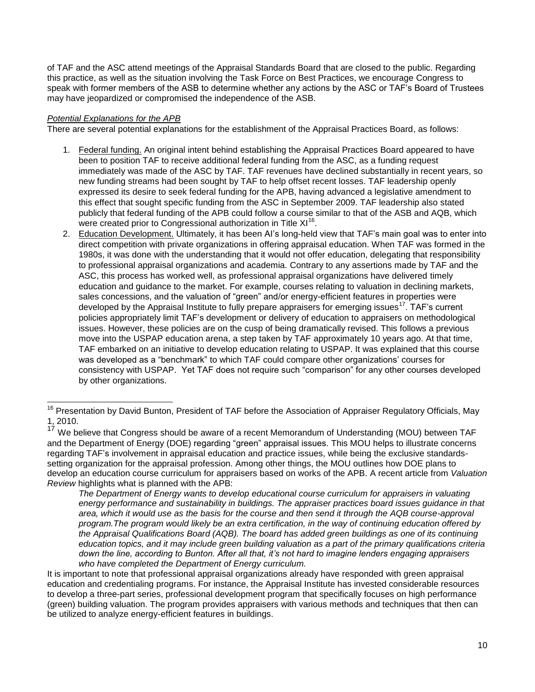of TAF and the ASC attend meetings of the Appraisal Standards Board that are closed to the public. Regarding this practice, as well as the situation involving the Task Force on Best Practices, we encourage Congress to speak with former members of the ASB to determine whether any actions by the ASC or TAF's Board of Trustees may have jeopardized or compromised the independence of the ASB.

# *Potential Explanations for the APB*

There are several potential explanations for the establishment of the Appraisal Practices Board, as follows:

- 1. Federal funding. An original intent behind establishing the Appraisal Practices Board appeared to have been to position TAF to receive additional federal funding from the ASC, as a funding request immediately was made of the ASC by TAF. TAF revenues have declined substantially in recent years, so new funding streams had been sought by TAF to help offset recent losses. TAF leadership openly expressed its desire to seek federal funding for the APB, having advanced a legislative amendment to this effect that sought specific funding from the ASC in September 2009. TAF leadership also stated publicly that federal funding of the APB could follow a course similar to that of the ASB and AQB, which were created prior to Congressional authorization in Title  $XI^{16}$ .
- 2. Education Development. Ultimately, it has been AI's long-held view that TAF's main goal was to enter into direct competition with private organizations in offering appraisal education. When TAF was formed in the 1980s, it was done with the understanding that it would not offer education, delegating that responsibility to professional appraisal organizations and academia. Contrary to any assertions made by TAF and the ASC, this process has worked well, as professional appraisal organizations have delivered timely education and guidance to the market. For example, courses relating to valuation in declining markets, sales concessions, and the valuation of "green" and/or energy-efficient features in properties were developed by the Appraisal Institute to fully prepare appraisers for emerging issues<sup>17</sup>. TAF's current policies appropriately limit TAF's development or delivery of education to appraisers on methodological issues. However, these policies are on the cusp of being dramatically revised. This follows a previous move into the USPAP education arena, a step taken by TAF approximately 10 years ago. At that time, TAF embarked on an initiative to develop education relating to USPAP. It was explained that this course was developed as a "benchmark" to which TAF could compare other organizations' courses for consistency with USPAP. Yet TAF does not require such "comparison" for any other courses developed by other organizations.

*The Department of Energy wants to develop educational course curriculum for appraisers in valuating energy performance and sustainability in buildings. The appraiser practices board issues guidance in that area, which it would use as the basis for the course and then send it through the AQB course-approval program.The program would likely be an extra certification, in the way of continuing education offered by the Appraisal Qualifications Board (AQB). The board has added green buildings as one of its continuing education topics, and it may include green building valuation as a part of the primary qualifications criteria down the line, according to Bunton. After all that, it"s not hard to imagine lenders engaging appraisers who have completed the Department of Energy curriculum.* 

It is important to note that professional appraisal organizations already have responded with green appraisal education and credentialing programs. For instance, the Appraisal Institute has invested considerable resources to develop a three-part series, professional development program that specifically focuses on high performance (green) building valuation. The program provides appraisers with various methods and techniques that then can be utilized to analyze energy-efficient features in buildings.

<sup>16</sup> <sup>16</sup> Presentation by David Bunton, President of TAF before the Association of Appraiser Regulatory Officials, May 1, 2010.

<sup>&</sup>lt;sup>17</sup> We believe that Congress should be aware of a recent Memorandum of Understanding (MOU) between TAF and the Department of Energy (DOE) regarding "green" appraisal issues. This MOU helps to illustrate concerns regarding TAF's involvement in appraisal education and practice issues, while being the exclusive standardssetting organization for the appraisal profession. Among other things, the MOU outlines how DOE plans to develop an education course curriculum for appraisers based on works of the APB. A recent article from *Valuation Review* highlights what is planned with the APB: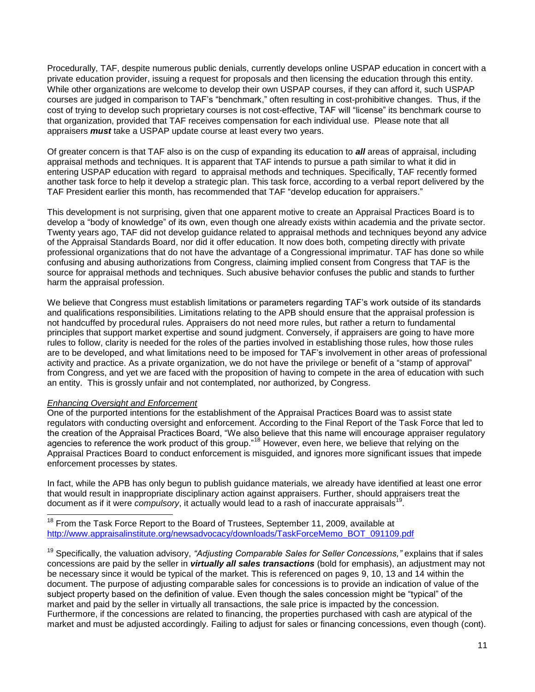Procedurally, TAF, despite numerous public denials, currently develops online USPAP education in concert with a private education provider, issuing a request for proposals and then licensing the education through this entity. While other organizations are welcome to develop their own USPAP courses, if they can afford it, such USPAP courses are judged in comparison to TAF's "benchmark," often resulting in cost-prohibitive changes. Thus, if the cost of trying to develop such proprietary courses is not cost-effective, TAF will "license" its benchmark course to that organization, provided that TAF receives compensation for each individual use. Please note that all appraisers *must* take a USPAP update course at least every two years.

Of greater concern is that TAF also is on the cusp of expanding its education to *all* areas of appraisal, including appraisal methods and techniques. It is apparent that TAF intends to pursue a path similar to what it did in entering USPAP education with regard to appraisal methods and techniques. Specifically, TAF recently formed another task force to help it develop a strategic plan. This task force, according to a verbal report delivered by the TAF President earlier this month, has recommended that TAF "develop education for appraisers."

This development is not surprising, given that one apparent motive to create an Appraisal Practices Board is to develop a "body of knowledge" of its own, even though one already exists within academia and the private sector. Twenty years ago, TAF did not develop guidance related to appraisal methods and techniques beyond any advice of the Appraisal Standards Board, nor did it offer education. It now does both, competing directly with private professional organizations that do not have the advantage of a Congressional imprimatur. TAF has done so while confusing and abusing authorizations from Congress, claiming implied consent from Congress that TAF is the source for appraisal methods and techniques. Such abusive behavior confuses the public and stands to further harm the appraisal profession.

We believe that Congress must establish limitations or parameters regarding TAF's work outside of its standards and qualifications responsibilities. Limitations relating to the APB should ensure that the appraisal profession is not handcuffed by procedural rules. Appraisers do not need more rules, but rather a return to fundamental principles that support market expertise and sound judgment. Conversely, if appraisers are going to have more rules to follow, clarity is needed for the roles of the parties involved in establishing those rules, how those rules are to be developed, and what limitations need to be imposed for TAF's involvement in other areas of professional activity and practice. As a private organization, we do not have the privilege or benefit of a "stamp of approval" from Congress, and yet we are faced with the proposition of having to compete in the area of education with such an entity. This is grossly unfair and not contemplated, nor authorized, by Congress.

### *Enhancing Oversight and Enforcement*

l

One of the purported intentions for the establishment of the Appraisal Practices Board was to assist state regulators with conducting oversight and enforcement. According to the Final Report of the Task Force that led to the creation of the Appraisal Practices Board, "We also believe that this name will encourage appraiser regulatory agencies to reference the work product of this group."<sup>18</sup> However, even here, we believe that relying on the Appraisal Practices Board to conduct enforcement is misguided, and ignores more significant issues that impede enforcement processes by states.

In fact, while the APB has only begun to publish guidance materials, we already have identified at least one error that would result in inappropriate disciplinary action against appraisers. Further, should appraisers treat the document as if it were *compulsory*, it actually would lead to a rash of inaccurate appraisals<sup>19</sup>.

 $18$  From the Task Force Report to the Board of Trustees, September 11, 2009, available at [http://www.appraisalinstitute.org/newsadvocacy/downloads/TaskForceMemo\\_BOT\\_091109.pdf](http://www.appraisalinstitute.org/newsadvocacy/downloads/TaskForceMemo_BOT_091109.pdf)

<sup>19</sup> Specifically, the valuation advisory, *"Adjusting Comparable Sales for Seller Concessions,"* explains that if sales concessions are paid by the seller in *virtually all sales transactions* (bold for emphasis), an adjustment may not be necessary since it would be typical of the market. This is referenced on pages 9, 10, 13 and 14 within the document. The purpose of adjusting comparable sales for concessions is to provide an indication of value of the subject property based on the definition of value. Even though the sales concession might be "typical" of the market and paid by the seller in virtually all transactions, the sale price is impacted by the concession. Furthermore, if the concessions are related to financing, the properties purchased with cash are atypical of the market and must be adjusted accordingly. Failing to adjust for sales or financing concessions, even though (cont).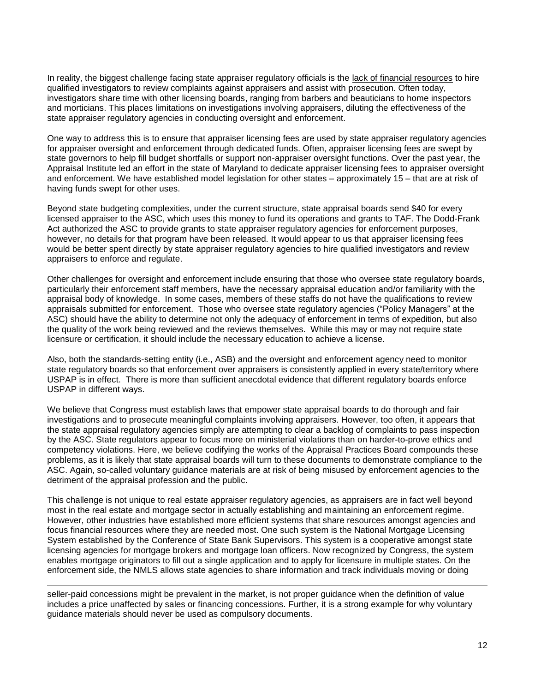In reality, the biggest challenge facing state appraiser regulatory officials is the lack of financial resources to hire qualified investigators to review complaints against appraisers and assist with prosecution. Often today, investigators share time with other licensing boards, ranging from barbers and beauticians to home inspectors and morticians. This places limitations on investigations involving appraisers, diluting the effectiveness of the state appraiser regulatory agencies in conducting oversight and enforcement.

One way to address this is to ensure that appraiser licensing fees are used by state appraiser regulatory agencies for appraiser oversight and enforcement through dedicated funds. Often, appraiser licensing fees are swept by state governors to help fill budget shortfalls or support non-appraiser oversight functions. Over the past year, the Appraisal Institute led an effort in the state of Maryland to dedicate appraiser licensing fees to appraiser oversight and enforcement. We have established model legislation for other states – approximately 15 – that are at risk of having funds swept for other uses.

Beyond state budgeting complexities, under the current structure, state appraisal boards send \$40 for every licensed appraiser to the ASC, which uses this money to fund its operations and grants to TAF. The Dodd-Frank Act authorized the ASC to provide grants to state appraiser regulatory agencies for enforcement purposes, however, no details for that program have been released. It would appear to us that appraiser licensing fees would be better spent directly by state appraiser regulatory agencies to hire qualified investigators and review appraisers to enforce and regulate.

Other challenges for oversight and enforcement include ensuring that those who oversee state regulatory boards, particularly their enforcement staff members, have the necessary appraisal education and/or familiarity with the appraisal body of knowledge. In some cases, members of these staffs do not have the qualifications to review appraisals submitted for enforcement. Those who oversee state regulatory agencies ("Policy Managers" at the ASC) should have the ability to determine not only the adequacy of enforcement in terms of expedition, but also the quality of the work being reviewed and the reviews themselves. While this may or may not require state licensure or certification, it should include the necessary education to achieve a license.

Also, both the standards-setting entity (i.e., ASB) and the oversight and enforcement agency need to monitor state regulatory boards so that enforcement over appraisers is consistently applied in every state/territory where USPAP is in effect. There is more than sufficient anecdotal evidence that different regulatory boards enforce USPAP in different ways.

We believe that Congress must establish laws that empower state appraisal boards to do thorough and fair investigations and to prosecute meaningful complaints involving appraisers. However, too often, it appears that the state appraisal regulatory agencies simply are attempting to clear a backlog of complaints to pass inspection by the ASC. State regulators appear to focus more on ministerial violations than on harder-to-prove ethics and competency violations. Here, we believe codifying the works of the Appraisal Practices Board compounds these problems, as it is likely that state appraisal boards will turn to these documents to demonstrate compliance to the ASC. Again, so-called voluntary guidance materials are at risk of being misused by enforcement agencies to the detriment of the appraisal profession and the public.

This challenge is not unique to real estate appraiser regulatory agencies, as appraisers are in fact well beyond most in the real estate and mortgage sector in actually establishing and maintaining an enforcement regime. However, other industries have established more efficient systems that share resources amongst agencies and focus financial resources where they are needed most. One such system is the National Mortgage Licensing System established by the Conference of State Bank Supervisors. This system is a cooperative amongst state licensing agencies for mortgage brokers and mortgage loan officers. Now recognized by Congress, the system enables mortgage originators to fill out a single application and to apply for licensure in multiple states. On the enforcement side, the NMLS allows state agencies to share information and track individuals moving or doing

seller-paid concessions might be prevalent in the market, is not proper guidance when the definition of value includes a price unaffected by sales or financing concessions. Further, it is a strong example for why voluntary guidance materials should never be used as compulsory documents.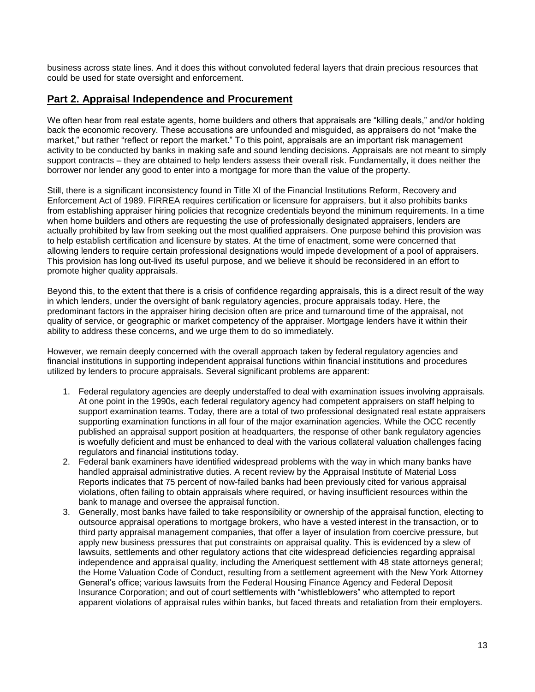business across state lines. And it does this without convoluted federal layers that drain precious resources that could be used for state oversight and enforcement.

# **Part 2. Appraisal Independence and Procurement**

We often hear from real estate agents, home builders and others that appraisals are "killing deals," and/or holding back the economic recovery. These accusations are unfounded and misguided, as appraisers do not "make the market," but rather "reflect or report the market." To this point, appraisals are an important risk management activity to be conducted by banks in making safe and sound lending decisions. Appraisals are not meant to simply support contracts – they are obtained to help lenders assess their overall risk. Fundamentally, it does neither the borrower nor lender any good to enter into a mortgage for more than the value of the property.

Still, there is a significant inconsistency found in Title XI of the Financial Institutions Reform, Recovery and Enforcement Act of 1989. FIRREA requires certification or licensure for appraisers, but it also prohibits banks from establishing appraiser hiring policies that recognize credentials beyond the minimum requirements. In a time when home builders and others are requesting the use of professionally designated appraisers, lenders are actually prohibited by law from seeking out the most qualified appraisers. One purpose behind this provision was to help establish certification and licensure by states. At the time of enactment, some were concerned that allowing lenders to require certain professional designations would impede development of a pool of appraisers. This provision has long out-lived its useful purpose, and we believe it should be reconsidered in an effort to promote higher quality appraisals.

Beyond this, to the extent that there is a crisis of confidence regarding appraisals, this is a direct result of the way in which lenders, under the oversight of bank regulatory agencies, procure appraisals today. Here, the predominant factors in the appraiser hiring decision often are price and turnaround time of the appraisal, not quality of service, or geographic or market competency of the appraiser. Mortgage lenders have it within their ability to address these concerns, and we urge them to do so immediately.

However, we remain deeply concerned with the overall approach taken by federal regulatory agencies and financial institutions in supporting independent appraisal functions within financial institutions and procedures utilized by lenders to procure appraisals. Several significant problems are apparent:

- 1. Federal regulatory agencies are deeply understaffed to deal with examination issues involving appraisals. At one point in the 1990s, each federal regulatory agency had competent appraisers on staff helping to support examination teams. Today, there are a total of two professional designated real estate appraisers supporting examination functions in all four of the major examination agencies. While the OCC recently published an appraisal support position at headquarters, the response of other bank regulatory agencies is woefully deficient and must be enhanced to deal with the various collateral valuation challenges facing regulators and financial institutions today.
- 2. Federal bank examiners have identified widespread problems with the way in which many banks have handled appraisal administrative duties. A recent review by the Appraisal Institute of Material Loss Reports indicates that 75 percent of now-failed banks had been previously cited for various appraisal violations, often failing to obtain appraisals where required, or having insufficient resources within the bank to manage and oversee the appraisal function.
- 3. Generally, most banks have failed to take responsibility or ownership of the appraisal function, electing to outsource appraisal operations to mortgage brokers, who have a vested interest in the transaction, or to third party appraisal management companies, that offer a layer of insulation from coercive pressure, but apply new business pressures that put constraints on appraisal quality. This is evidenced by a slew of lawsuits, settlements and other regulatory actions that cite widespread deficiencies regarding appraisal independence and appraisal quality, including the Ameriquest settlement with 48 state attorneys general; the Home Valuation Code of Conduct, resulting from a settlement agreement with the New York Attorney General's office; various lawsuits from the Federal Housing Finance Agency and Federal Deposit Insurance Corporation; and out of court settlements with "whistleblowers" who attempted to report apparent violations of appraisal rules within banks, but faced threats and retaliation from their employers.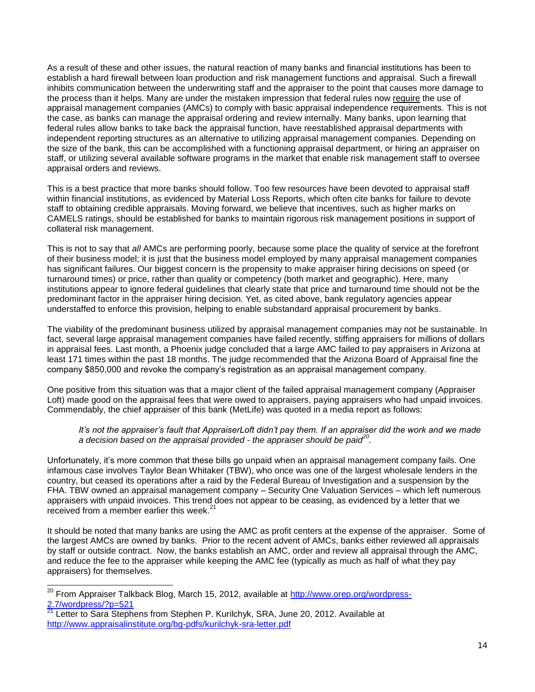As a result of these and other issues, the natural reaction of many banks and financial institutions has been to establish a hard firewall between loan production and risk management functions and appraisal. Such a firewall inhibits communication between the underwriting staff and the appraiser to the point that causes more damage to the process than it helps. Many are under the mistaken impression that federal rules now require the use of appraisal management companies (AMCs) to comply with basic appraisal independence requirements. This is not the case, as banks can manage the appraisal ordering and review internally. Many banks, upon learning that federal rules allow banks to take back the appraisal function, have reestablished appraisal departments with independent reporting structures as an alternative to utilizing appraisal management companies. Depending on the size of the bank, this can be accomplished with a functioning appraisal department, or hiring an appraiser on staff, or utilizing several available software programs in the market that enable risk management staff to oversee appraisal orders and reviews.

This is a best practice that more banks should follow. Too few resources have been devoted to appraisal staff within financial institutions, as evidenced by Material Loss Reports, which often cite banks for failure to devote staff to obtaining credible appraisals. Moving forward, we believe that incentives, such as higher marks on CAMELS ratings, should be established for banks to maintain rigorous risk management positions in support of collateral risk management.

This is not to say that *all* AMCs are performing poorly, because some place the quality of service at the forefront of their business model; it is just that the business model employed by many appraisal management companies has significant failures. Our biggest concern is the propensity to make appraiser hiring decisions on speed (or turnaround times) or price, rather than quality or competency (both market and geographic). Here, many institutions appear to ignore federal guidelines that clearly state that price and turnaround time should not be the predominant factor in the appraiser hiring decision. Yet, as cited above, bank regulatory agencies appear understaffed to enforce this provision, helping to enable substandard appraisal procurement by banks.

The viability of the predominant business utilized by appraisal management companies may not be sustainable. In fact, several large appraisal management companies have failed recently, stiffing appraisers for millions of dollars in appraisal fees. Last month, a Phoenix judge concluded that a large AMC failed to pay appraisers in Arizona at least 171 times within the past 18 months. The judge recommended that the Arizona Board of Appraisal fine the company \$850,000 and revoke the company's registration as an appraisal management company.

One positive from this situation was that a major client of the failed appraisal management company (Appraiser Loft) made good on the appraisal fees that were owed to appraisers, paying appraisers who had unpaid invoices. Commendably, the chief appraiser of this bank (MetLife) was quoted in a media report as follows:

*It"s not the appraiser"s fault that AppraiserLoft didn"t pay them. If an appraiser did the work and we made a decision based on the appraisal provided - the appraiser should be paid<sup>20</sup> .*

Unfortunately, it's more common that these bills go unpaid when an appraisal management company fails. One infamous case involves Taylor Bean Whitaker (TBW), who once was one of the largest wholesale lenders in the country, but ceased its operations after a raid by the Federal Bureau of Investigation and a suspension by the FHA. TBW owned an appraisal management company – Security One Valuation Services – which left numerous appraisers with unpaid invoices. This trend does not appear to be ceasing, as evidenced by a letter that we received from a member earlier this week. $21$ 

It should be noted that many banks are using the AMC as profit centers at the expense of the appraiser. Some of the largest AMCs are owned by banks. Prior to the recent advent of AMCs, banks either reviewed all appraisals by staff or outside contract. Now, the banks establish an AMC, order and review all appraisal through the AMC, and reduce the fee to the appraiser while keeping the AMC fee (typically as much as half of what they pay appraisers) for themselves.

<sup>&</sup>lt;sup>20</sup> From Appraiser Talkback Blog, March 15, 2012, available at <u>http://www.orep.org/wordpress-</u> [2.7/wordpress/?p=521](http://www.orep.org/wordpress-2.7/wordpress/?p=521)<br>21 | att

Letter to Sara Stephens from Stephen P. Kurilchyk, SRA, June 20, 2012. Available at <http://www.appraisalinstitute.org/bg-pdfs/kurilchyk-sra-letter.pdf>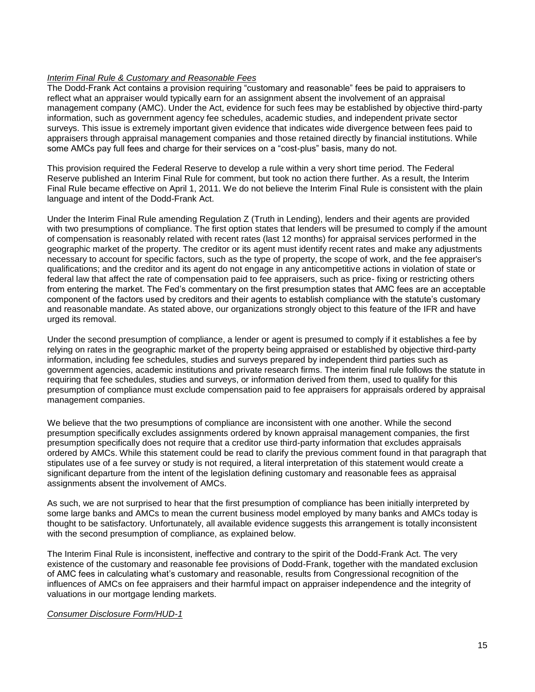### *Interim Final Rule & Customary and Reasonable Fees*

The Dodd-Frank Act contains a provision requiring "customary and reasonable" fees be paid to appraisers to reflect what an appraiser would typically earn for an assignment absent the involvement of an appraisal management company (AMC). Under the Act, evidence for such fees may be established by objective third-party information, such as government agency fee schedules, academic studies, and independent private sector surveys. This issue is extremely important given evidence that indicates wide divergence between fees paid to appraisers through appraisal management companies and those retained directly by financial institutions. While some AMCs pay full fees and charge for their services on a "cost-plus" basis, many do not.

This provision required the Federal Reserve to develop a rule within a very short time period. The Federal Reserve published an Interim Final Rule for comment, but took no action there further. As a result, the Interim Final Rule became effective on April 1, 2011. We do not believe the Interim Final Rule is consistent with the plain language and intent of the Dodd-Frank Act.

Under the Interim Final Rule amending Regulation Z (Truth in Lending), lenders and their agents are provided with two presumptions of compliance. The first option states that lenders will be presumed to comply if the amount of compensation is reasonably related with recent rates (last 12 months) for appraisal services performed in the geographic market of the property. The creditor or its agent must identify recent rates and make any adjustments necessary to account for specific factors, such as the type of property, the scope of work, and the fee appraiser's qualifications; and the creditor and its agent do not engage in any anticompetitive actions in violation of state or federal law that affect the rate of compensation paid to fee appraisers, such as price- fixing or restricting others from entering the market. The Fed's commentary on the first presumption states that AMC fees are an acceptable component of the factors used by creditors and their agents to establish compliance with the statute's customary and reasonable mandate. As stated above, our organizations strongly object to this feature of the IFR and have urged its removal.

Under the second presumption of compliance, a lender or agent is presumed to comply if it establishes a fee by relying on rates in the geographic market of the property being appraised or established by objective third-party information, including fee schedules, studies and surveys prepared by independent third parties such as government agencies, academic institutions and private research firms. The interim final rule follows the statute in requiring that fee schedules, studies and surveys, or information derived from them, used to qualify for this presumption of compliance must exclude compensation paid to fee appraisers for appraisals ordered by appraisal management companies.

We believe that the two presumptions of compliance are inconsistent with one another. While the second presumption specifically excludes assignments ordered by known appraisal management companies, the first presumption specifically does not require that a creditor use third-party information that excludes appraisals ordered by AMCs. While this statement could be read to clarify the previous comment found in that paragraph that stipulates use of a fee survey or study is not required, a literal interpretation of this statement would create a significant departure from the intent of the legislation defining customary and reasonable fees as appraisal assignments absent the involvement of AMCs.

As such, we are not surprised to hear that the first presumption of compliance has been initially interpreted by some large banks and AMCs to mean the current business model employed by many banks and AMCs today is thought to be satisfactory. Unfortunately, all available evidence suggests this arrangement is totally inconsistent with the second presumption of compliance, as explained below.

The Interim Final Rule is inconsistent, ineffective and contrary to the spirit of the Dodd-Frank Act. The very existence of the customary and reasonable fee provisions of Dodd-Frank, together with the mandated exclusion of AMC fees in calculating what's customary and reasonable, results from Congressional recognition of the influences of AMCs on fee appraisers and their harmful impact on appraiser independence and the integrity of valuations in our mortgage lending markets.

### *Consumer Disclosure Form/HUD-1*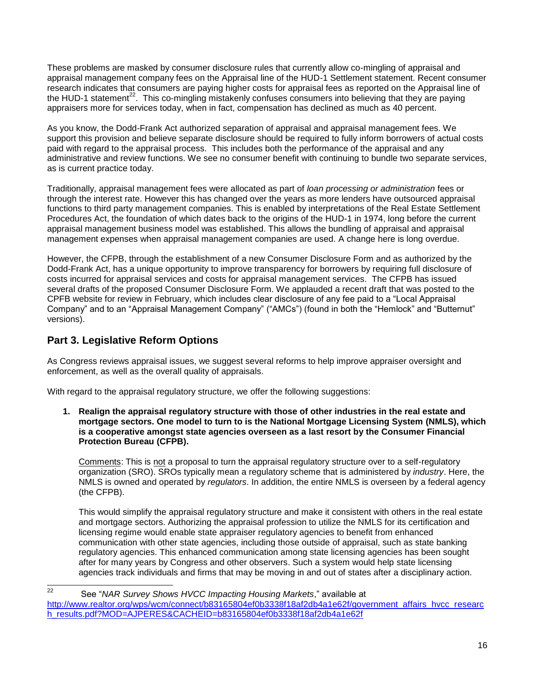These problems are masked by consumer disclosure rules that currently allow co-mingling of appraisal and appraisal management company fees on the Appraisal line of the HUD-1 Settlement statement. Recent consumer research indicates that consumers are paying higher costs for appraisal fees as reported on the Appraisal line of the HUD-1 statement<sup>22</sup>. This co-mingling mistakenly confuses consumers into believing that they are paying appraisers more for services today, when in fact, compensation has declined as much as 40 percent.

As you know, the Dodd-Frank Act authorized separation of appraisal and appraisal management fees. We support this provision and believe separate disclosure should be required to fully inform borrowers of actual costs paid with regard to the appraisal process. This includes both the performance of the appraisal and any administrative and review functions. We see no consumer benefit with continuing to bundle two separate services, as is current practice today.

Traditionally, appraisal management fees were allocated as part of *loan processing or administration* fees or through the interest rate. However this has changed over the years as more lenders have outsourced appraisal functions to third party management companies. This is enabled by interpretations of the Real Estate Settlement Procedures Act, the foundation of which dates back to the origins of the HUD-1 in 1974, long before the current appraisal management business model was established. This allows the bundling of appraisal and appraisal management expenses when appraisal management companies are used. A change here is long overdue.

However, the CFPB, through the establishment of a new Consumer Disclosure Form and as authorized by the Dodd-Frank Act, has a unique opportunity to improve transparency for borrowers by requiring full disclosure of costs incurred for appraisal services and costs for appraisal management services. The CFPB has issued several drafts of the proposed Consumer Disclosure Form. We applauded a recent draft that was posted to the CPFB website for review in February, which includes clear disclosure of any fee paid to a "Local Appraisal Company" and to an "Appraisal Management Company" ("AMCs") (found in both the "Hemlock" and "Butternut" versions).

# **Part 3. Legislative Reform Options**

As Congress reviews appraisal issues, we suggest several reforms to help improve appraiser oversight and enforcement, as well as the overall quality of appraisals.

With regard to the appraisal regulatory structure, we offer the following suggestions:

**1. Realign the appraisal regulatory structure with those of other industries in the real estate and mortgage sectors. One model to turn to is the National Mortgage Licensing System (NMLS), which is a cooperative amongst state agencies overseen as a last resort by the Consumer Financial Protection Bureau (CFPB).** 

Comments: This is not a proposal to turn the appraisal regulatory structure over to a self-regulatory organization (SRO). SROs typically mean a regulatory scheme that is administered by *industry*. Here, the NMLS is owned and operated by *regulators*. In addition, the entire NMLS is overseen by a federal agency (the CFPB).

This would simplify the appraisal regulatory structure and make it consistent with others in the real estate and mortgage sectors. Authorizing the appraisal profession to utilize the NMLS for its certification and licensing regime would enable state appraiser regulatory agencies to benefit from enhanced communication with other state agencies, including those outside of appraisal, such as state banking regulatory agencies. This enhanced communication among state licensing agencies has been sought after for many years by Congress and other observers. Such a system would help state licensing agencies track individuals and firms that may be moving in and out of states after a disciplinary action.

 $22$ <sup>22</sup> See "*NAR Survey Shows HVCC Impacting Housing Markets*," available at [http://www.realtor.org/wps/wcm/connect/b83165804ef0b3338f18af2db4a1e62f/government\\_affairs\\_hvcc\\_researc](http://www.realtor.org/wps/wcm/connect/b83165804ef0b3338f18af2db4a1e62f/government_affairs_hvcc_research_results.pdf?MOD=AJPERES&CACHEID=b83165804ef0b3338f18af2db4a1e62f) [h\\_results.pdf?MOD=AJPERES&CACHEID=b83165804ef0b3338f18af2db4a1e62f](http://www.realtor.org/wps/wcm/connect/b83165804ef0b3338f18af2db4a1e62f/government_affairs_hvcc_research_results.pdf?MOD=AJPERES&CACHEID=b83165804ef0b3338f18af2db4a1e62f)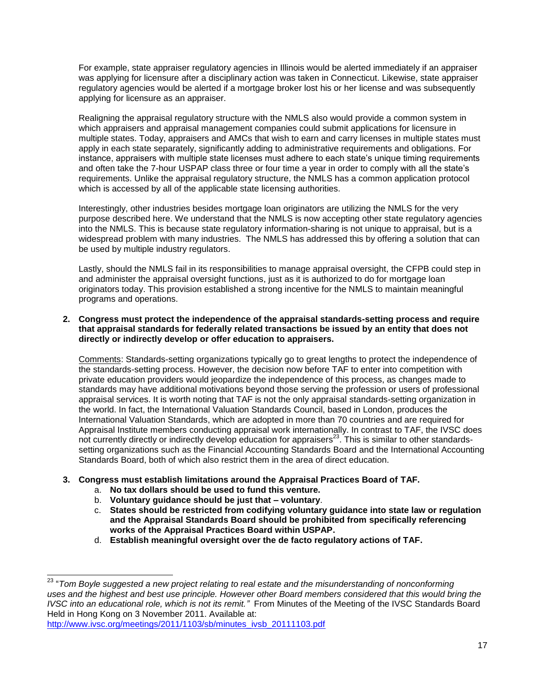For example, state appraiser regulatory agencies in Illinois would be alerted immediately if an appraiser was applying for licensure after a disciplinary action was taken in Connecticut. Likewise, state appraiser regulatory agencies would be alerted if a mortgage broker lost his or her license and was subsequently applying for licensure as an appraiser.

Realigning the appraisal regulatory structure with the NMLS also would provide a common system in which appraisers and appraisal management companies could submit applications for licensure in multiple states. Today, appraisers and AMCs that wish to earn and carry licenses in multiple states must apply in each state separately, significantly adding to administrative requirements and obligations. For instance, appraisers with multiple state licenses must adhere to each state's unique timing requirements and often take the 7-hour USPAP class three or four time a year in order to comply with all the state's requirements. Unlike the appraisal regulatory structure, the NMLS has a common application protocol which is accessed by all of the applicable state licensing authorities.

Interestingly, other industries besides mortgage loan originators are utilizing the NMLS for the very purpose described here. We understand that the NMLS is now accepting other state regulatory agencies into the NMLS. This is because state regulatory information-sharing is not unique to appraisal, but is a widespread problem with many industries. The NMLS has addressed this by offering a solution that can be used by multiple industry regulators.

Lastly, should the NMLS fail in its responsibilities to manage appraisal oversight, the CFPB could step in and administer the appraisal oversight functions, just as it is authorized to do for mortgage loan originators today. This provision established a strong incentive for the NMLS to maintain meaningful programs and operations.

## **2. Congress must protect the independence of the appraisal standards-setting process and require that appraisal standards for federally related transactions be issued by an entity that does not directly or indirectly develop or offer education to appraisers.**

Comments: Standards-setting organizations typically go to great lengths to protect the independence of the standards-setting process. However, the decision now before TAF to enter into competition with private education providers would jeopardize the independence of this process, as changes made to standards may have additional motivations beyond those serving the profession or users of professional appraisal services. It is worth noting that TAF is not the only appraisal standards-setting organization in the world. In fact, the International Valuation Standards Council, based in London, produces the International Valuation Standards, which are adopted in more than 70 countries and are required for Appraisal Institute members conducting appraisal work internationally. In contrast to TAF, the IVSC does not currently directly or indirectly develop education for appraisers<sup>23</sup>. This is similar to other standardssetting organizations such as the Financial Accounting Standards Board and the International Accounting Standards Board, both of which also restrict them in the area of direct education.

# **3. Congress must establish limitations around the Appraisal Practices Board of TAF.**

- a. **No tax dollars should be used to fund this venture.**
- b. **Voluntary guidance should be just that – voluntary**.
- c. **States should be restricted from codifying voluntary guidance into state law or regulation and the Appraisal Standards Board should be prohibited from specifically referencing works of the Appraisal Practices Board within USPAP.**
- d. **Establish meaningful oversight over the de facto regulatory actions of TAF.**

<sup>23</sup> "*Tom Boyle suggested a new project relating to real estate and the misunderstanding of nonconforming uses and the highest and best use principle. However other Board members considered that this would bring the IVSC into an educational role, which is not its remit."* From Minutes of the Meeting of the IVSC Standards Board Held in Hong Kong on 3 November 2011. Available at: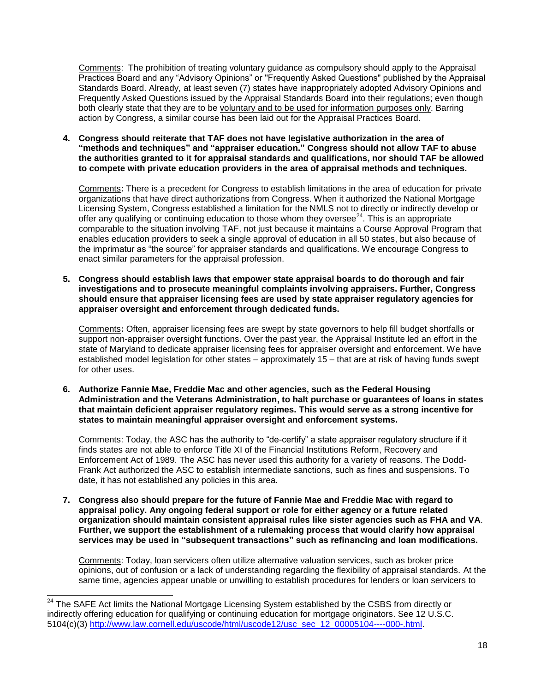Comments: The prohibition of treating voluntary guidance as compulsory should apply to the Appraisal Practices Board and any "Advisory Opinions" or "Frequently Asked Questions" published by the Appraisal Standards Board. Already, at least seven (7) states have inappropriately adopted Advisory Opinions and Frequently Asked Questions issued by the Appraisal Standards Board into their regulations; even though both clearly state that they are to be voluntary and to be used for information purposes only. Barring action by Congress, a similar course has been laid out for the Appraisal Practices Board.

**4. Congress should reiterate that TAF does not have legislative authorization in the area of "methods and techniques" and "appraiser education." Congress should not allow TAF to abuse the authorities granted to it for appraisal standards and qualifications, nor should TAF be allowed to compete with private education providers in the area of appraisal methods and techniques.**

Comments**:** There is a precedent for Congress to establish limitations in the area of education for private organizations that have direct authorizations from Congress. When it authorized the National Mortgage Licensing System, Congress established a limitation for the NMLS not to directly or indirectly develop or offer any qualifying or continuing education to those whom they oversee $^{24}$ . This is an appropriate comparable to the situation involving TAF, not just because it maintains a Course Approval Program that enables education providers to seek a single approval of education in all 50 states, but also because of the imprimatur as "the source" for appraiser standards and qualifications. We encourage Congress to enact similar parameters for the appraisal profession.

**5. Congress should establish laws that empower state appraisal boards to do thorough and fair investigations and to prosecute meaningful complaints involving appraisers. Further, Congress should ensure that appraiser licensing fees are used by state appraiser regulatory agencies for appraiser oversight and enforcement through dedicated funds.** 

Comments**:** Often, appraiser licensing fees are swept by state governors to help fill budget shortfalls or support non-appraiser oversight functions. Over the past year, the Appraisal Institute led an effort in the state of Maryland to dedicate appraiser licensing fees for appraiser oversight and enforcement. We have established model legislation for other states – approximately 15 – that are at risk of having funds swept for other uses.

**6. Authorize Fannie Mae, Freddie Mac and other agencies, such as the Federal Housing Administration and the Veterans Administration, to halt purchase or guarantees of loans in states that maintain deficient appraiser regulatory regimes. This would serve as a strong incentive for states to maintain meaningful appraiser oversight and enforcement systems.**

Comments: Today, the ASC has the authority to "de-certify" a state appraiser regulatory structure if it finds states are not able to enforce Title XI of the Financial Institutions Reform, Recovery and Enforcement Act of 1989. The ASC has never used this authority for a variety of reasons. The Dodd-Frank Act authorized the ASC to establish intermediate sanctions, such as fines and suspensions. To date, it has not established any policies in this area.

**7. Congress also should prepare for the future of Fannie Mae and Freddie Mac with regard to appraisal policy. Any ongoing federal support or role for either agency or a future related organization should maintain consistent appraisal rules like sister agencies such as FHA and VA**. **Further, we support the establishment of a rulemaking process that would clarify how appraisal services may be used in "subsequent transactions" such as refinancing and loan modifications.**

Comments: Today, loan servicers often utilize alternative valuation services, such as broker price opinions, out of confusion or a lack of understanding regarding the flexibility of appraisal standards. At the same time, agencies appear unable or unwilling to establish procedures for lenders or loan servicers to

<sup>&</sup>lt;sup>24</sup> The SAFE Act limits the National Mortgage Licensing System established by the CSBS from directly or indirectly offering education for qualifying or continuing education for mortgage originators. See 12 U.S.C. 5104(c)(3) [http://www.law.cornell.edu/uscode/html/uscode12/usc\\_sec\\_12\\_00005104----000-.html.](http://www.law.cornell.edu/uscode/html/uscode12/usc_sec_12_00005104----000-.html)